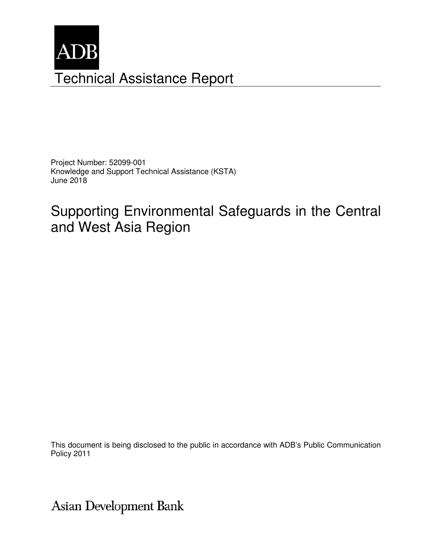

Project Number: 52099-001 Knowledge and Support Technical Assistance (KSTA) June 2018

# Supporting Environmental Safeguards in the Central and West Asia Region

This document is being disclosed to the public in accordance with ADB's Public Communication Policy 2011

Asian Development Bank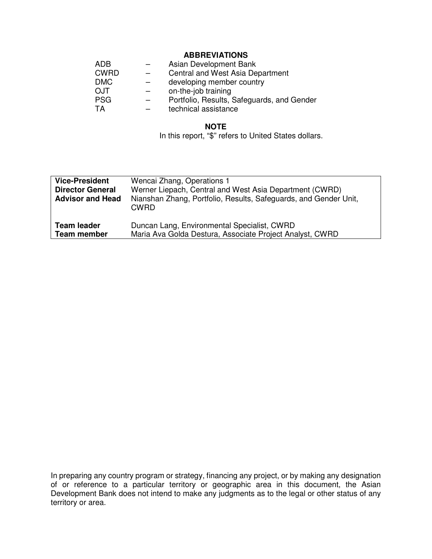## **ABBREVIATIONS**

| <b>ADB</b>  | Asian Development Bank                     |
|-------------|--------------------------------------------|
| <b>CWRD</b> | Central and West Asia Department           |
| <b>DMC</b>  | developing member country                  |
| <b>OJT</b>  | on-the-job training                        |
| <b>PSG</b>  | Portfolio, Results, Safeguards, and Gender |
| TA          | technical assistance                       |

#### **NOTE**

In this report, "\$" refers to United States dollars.

| <b>Vice-President</b><br><b>Director General</b><br><b>Advisor and Head</b> | Wencai Zhang, Operations 1<br>Werner Liepach, Central and West Asia Department (CWRD)<br>Nianshan Zhang, Portfolio, Results, Safeguards, and Gender Unit,<br><b>CWRD</b> |
|-----------------------------------------------------------------------------|--------------------------------------------------------------------------------------------------------------------------------------------------------------------------|
| <b>Team leader</b>                                                          | Duncan Lang, Environmental Specialist, CWRD                                                                                                                              |
| <b>Team member</b>                                                          | Maria Ava Golda Destura, Associate Project Analyst, CWRD                                                                                                                 |

In preparing any country program or strategy, financing any project, or by making any designation of or reference to a particular territory or geographic area in this document, the Asian Development Bank does not intend to make any judgments as to the legal or other status of any territory or area.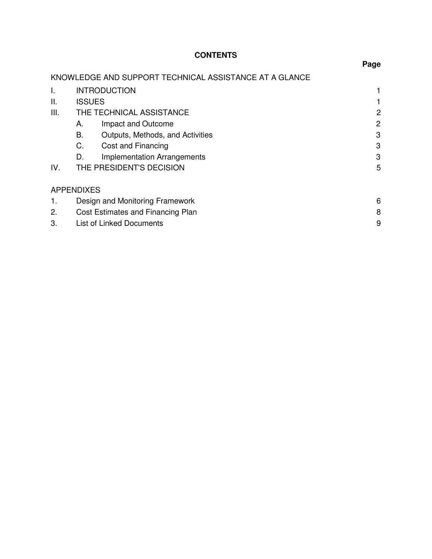# **CONTENTS**

|      |                                                        | . ugu |
|------|--------------------------------------------------------|-------|
|      | KNOWLEDGE AND SUPPORT TECHNICAL ASSISTANCE AT A GLANCE |       |
| I.   | <b>INTRODUCTION</b>                                    |       |
| ΙΙ.  | <b>ISSUES</b>                                          |       |
| III. | THE TECHNICAL ASSISTANCE                               | 2     |
|      | Impact and Outcome<br>А.                               | 2     |
|      | В.<br>Outputs, Methods, and Activities                 | 3     |
|      | C.<br>Cost and Financing                               | 3     |
|      | <b>Implementation Arrangements</b><br>D.               | 3     |
| IV.  | THE PRESIDENT'S DECISION                               | 5     |
|      | <b>APPENDIXES</b>                                      |       |
| 1.   | Design and Monitoring Framework                        | 6     |
| 2.   | Cost Estimates and Financing Plan                      | 8     |
| 3.   | <b>List of Linked Documents</b>                        | 9     |

#### **Page**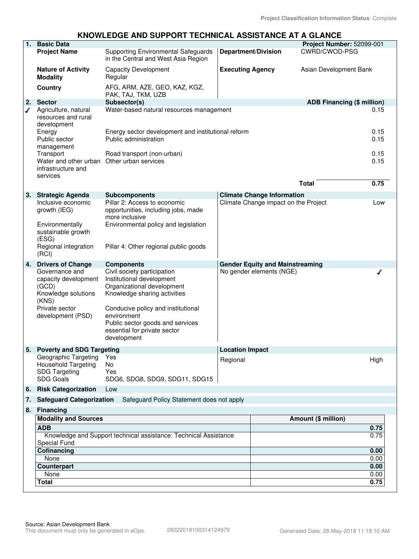# **KNOWLEDGE AND SUPPORT TECHNICAL ASSISTANCE AT A GLANCE**

| 1.                          | <b>Basic Data</b>                                                                                                      |                                                                                                                                                                                                                                                                |                                                    |                                        | Project Number: 52099-001         |              |
|-----------------------------|------------------------------------------------------------------------------------------------------------------------|----------------------------------------------------------------------------------------------------------------------------------------------------------------------------------------------------------------------------------------------------------------|----------------------------------------------------|----------------------------------------|-----------------------------------|--------------|
|                             | <b>Project Name</b>                                                                                                    | <b>Supporting Environmental Safeguards</b>                                                                                                                                                                                                                     | <b>Department/Division</b>                         |                                        | CWRD/CWOD-PSG                     |              |
|                             |                                                                                                                        | in the Central and West Asia Region                                                                                                                                                                                                                            |                                                    |                                        |                                   |              |
|                             | <b>Nature of Activity</b><br><b>Modality</b>                                                                           | <b>Capacity Development</b><br>Regular                                                                                                                                                                                                                         | <b>Executing Agency</b>                            |                                        | Asian Development Bank            |              |
|                             | Country                                                                                                                | AFG, ARM, AZE, GEO, KAZ, KGZ,<br>PAK, TAJ, TKM, UZB                                                                                                                                                                                                            |                                                    |                                        |                                   |              |
| 2.                          | <b>Sector</b>                                                                                                          | Subsector(s)                                                                                                                                                                                                                                                   |                                                    |                                        | <b>ADB Financing (\$ million)</b> |              |
| ✔                           | Agriculture, natural<br>resources and rural<br>development<br>Energy                                                   | Water-based natural resources management                                                                                                                                                                                                                       |                                                    |                                        |                                   | 0.15<br>0.15 |
|                             | Public sector<br>management                                                                                            | Public administration                                                                                                                                                                                                                                          | Energy sector development and institutional reform |                                        |                                   | 0.15         |
|                             | Transport<br>Water and other urban Other urban services<br>infrastructure and<br>services                              | Road transport (non-urban)                                                                                                                                                                                                                                     |                                                    |                                        |                                   | 0.15<br>0.15 |
|                             |                                                                                                                        |                                                                                                                                                                                                                                                                |                                                    |                                        | <b>Total</b>                      | 0.75         |
| 3.                          | <b>Strategic Agenda</b>                                                                                                | <b>Subcomponents</b>                                                                                                                                                                                                                                           |                                                    | <b>Climate Change Information</b>      |                                   |              |
|                             | Inclusive economic<br>growth (IEG)<br>Environmentally                                                                  | Pillar 2: Access to economic<br>opportunities, including jobs, made<br>more inclusive<br>Environmental policy and legislation                                                                                                                                  |                                                    | Climate Change impact on the Project   |                                   | Low          |
|                             | sustainable growth<br>(ESG)                                                                                            |                                                                                                                                                                                                                                                                |                                                    |                                        |                                   |              |
|                             | Regional integration<br>(RCI)                                                                                          | Pillar 4: Other regional public goods                                                                                                                                                                                                                          |                                                    |                                        |                                   |              |
| 4.                          | <b>Drivers of Change</b>                                                                                               | <b>Components</b>                                                                                                                                                                                                                                              |                                                    | <b>Gender Equity and Mainstreaming</b> |                                   |              |
|                             | Governance and<br>capacity development<br>(GCD)<br>Knowledge solutions<br>(KNS)<br>Private sector<br>development (PSD) | Civil society participation<br>Institutional development<br>Organizational development<br>Knowledge sharing activities<br>Conducive policy and institutional<br>environment<br>Public sector goods and services<br>essential for private sector<br>development |                                                    | No gender elements (NGE)               |                                   |              |
|                             | 5. Poverty and SDG Targeting                                                                                           |                                                                                                                                                                                                                                                                | <b>Location Impact</b>                             |                                        |                                   |              |
|                             | Geographic Targeting<br>Household Targeting<br><b>SDG Targeting</b><br><b>SDG Goals</b>                                | Yes<br>No<br>Yes<br>SDG6, SDG8, SDG9, SDG11, SDG15                                                                                                                                                                                                             | Regional                                           |                                        |                                   | High         |
| 6.                          | <b>Risk Categorization</b>                                                                                             | Low                                                                                                                                                                                                                                                            |                                                    |                                        |                                   |              |
| 7.                          | <b>Safeguard Categorization</b>                                                                                        | Safeguard Policy Statement does not apply                                                                                                                                                                                                                      |                                                    |                                        |                                   |              |
| 8.                          | Financing                                                                                                              |                                                                                                                                                                                                                                                                |                                                    |                                        |                                   |              |
| <b>Modality and Sources</b> |                                                                                                                        |                                                                                                                                                                                                                                                                | <b>Amount (\$ million)</b>                         |                                        |                                   |              |
|                             | <b>ADB</b>                                                                                                             |                                                                                                                                                                                                                                                                |                                                    |                                        |                                   | 0.75         |
|                             | Knowledge and Support technical assistance: Technical Assistance<br><b>Special Fund</b>                                |                                                                                                                                                                                                                                                                |                                                    |                                        | 0.75                              |              |
|                             | Cofinancing                                                                                                            |                                                                                                                                                                                                                                                                |                                                    |                                        | 0.00                              |              |
|                             | None                                                                                                                   |                                                                                                                                                                                                                                                                |                                                    |                                        |                                   | 0.00         |
|                             | Counterpart                                                                                                            |                                                                                                                                                                                                                                                                |                                                    |                                        | 0.00                              |              |
|                             | None                                                                                                                   |                                                                                                                                                                                                                                                                |                                                    |                                        |                                   | 0.00         |
|                             | <b>Total</b>                                                                                                           |                                                                                                                                                                                                                                                                |                                                    |                                        | 0.75                              |              |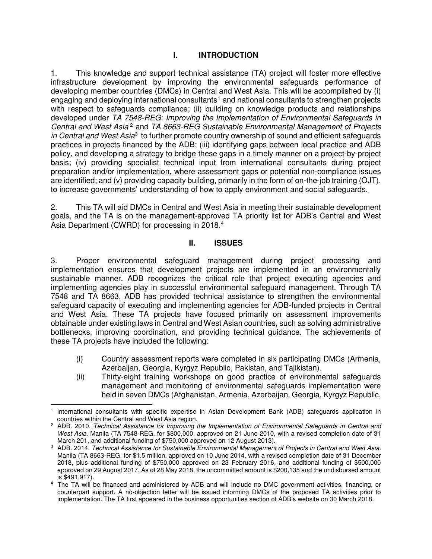## **I. INTRODUCTION**

1. This knowledge and support technical assistance (TA) project will foster more effective infrastructure development by improving the environmental safeguards performance of developing member countries (DMCs) in Central and West Asia. This will be accomplished by (i) engaging and deploying international consultants<sup>[1](#page-4-0)</sup> and national consultants to strengthen projects with respect to safeguards compliance; (ii) building on knowledge products and relationships developed under TA 7548-REG: Improving the Implementation of Environmental Safeguards in Central and West Asia<sup>[2](#page-4-1)</sup> and TA 8663-REG Sustainable Environmental Management of Projects in Central and West Asia<sup>[3](#page-4-2)</sup> to further promote country ownership of sound and efficient safeguards practices in projects financed by the ADB; (iii) identifying gaps between local practice and ADB policy, and developing a strategy to bridge these gaps in a timely manner on a project-by-project basis; (iv) providing specialist technical input from international consultants during project preparation and/or implementation, where assessment gaps or potential non-compliance issues are identified; and (v) providing capacity building, primarily in the form of on-the-job training (OJT), to increase governments' understanding of how to apply environment and social safeguards.

2. This TA will aid DMCs in Central and West Asia in meeting their sustainable development goals, and the TA is on the management-approved TA priority list for ADB's Central and West Asia Department (CWRD) for processing in 2018.<sup>[4](#page-4-3)</sup>

## **II. ISSUES**

3. Proper environmental safeguard management during project processing and implementation ensures that development projects are implemented in an environmentally sustainable manner. ADB recognizes the critical role that project executing agencies and implementing agencies play in successful environmental safeguard management. Through TA 7548 and TA 8663, ADB has provided technical assistance to strengthen the environmental safeguard capacity of executing and implementing agencies for ADB-funded projects in Central and West Asia. These TA projects have focused primarily on assessment improvements obtainable under existing laws in Central and West Asian countries, such as solving administrative bottlenecks, improving coordination, and providing technical guidance. The achievements of these TA projects have included the following:

- (i) Country assessment reports were completed in six participating DMCs (Armenia, Azerbaijan, Georgia, Kyrgyz Republic, Pakistan, and Tajikistan).
- (ii) Thirty-eight training workshops on good practice of environmental safeguards management and monitoring of environmental safeguards implementation were held in seven DMCs (Afghanistan, Armenia, Azerbaijan, Georgia, Kyrgyz Republic,

<span id="page-4-0"></span><sup>-</sup>1 International consultants with specific expertise in Asian Development Bank (ADB) safeguards application in countries within the Central and West Asia region.

<span id="page-4-1"></span><sup>&</sup>lt;sup>2</sup> ADB. 2010. Technical Assistance for Improving the Implementation of Environmental Safeguards in Central and West Asia. Manila (TA 7548-REG, for \$800,000, approved on 21 June 2010, with a revised completion date of 31 March 201, and additional funding of \$750,000 approved on 12 August 2013).

<span id="page-4-2"></span><sup>3</sup> ADB. 2014. Technical Assistance for Sustainable Environmental Management of Projects in Central and West Asia. Manila (TA 8663-REG, for \$1.5 million, approved on 10 June 2014, with a revised completion date of 31 December 2018, plus additional funding of \$750,000 approved on 23 February 2016, and additional funding of \$500,000 approved on 29 August 2017. As of 28 May 2018, the uncommitted amount is \$200,135 and the undisbursed amount is \$491,917).

<span id="page-4-3"></span><sup>4</sup> The TA will be financed and administered by ADB and will include no DMC government activities, financing, or counterpart support. A no-objection letter will be issued informing DMCs of the proposed TA activities prior to implementation. The TA first appeared in the business opportunities section of ADB's website on 30 March 2018.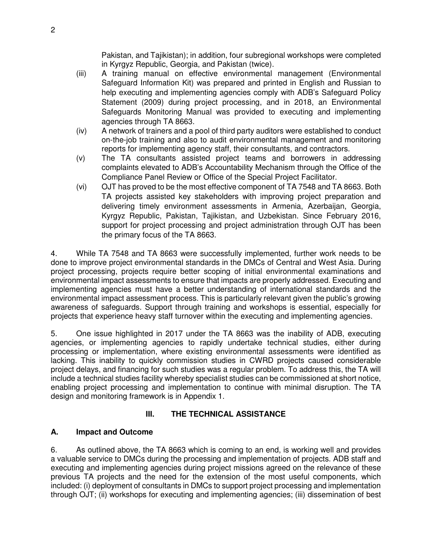Pakistan, and Tajikistan); in addition, four subregional workshops were completed in Kyrgyz Republic, Georgia, and Pakistan (twice).

- (iii) A training manual on effective environmental management (Environmental Safeguard Information Kit) was prepared and printed in English and Russian to help executing and implementing agencies comply with ADB's Safeguard Policy Statement (2009) during project processing, and in 2018, an Environmental Safeguards Monitoring Manual was provided to executing and implementing agencies through TA 8663.
- (iv) A network of trainers and a pool of third party auditors were established to conduct on-the-job training and also to audit environmental management and monitoring reports for implementing agency staff, their consultants, and contractors.
- (v) The TA consultants assisted project teams and borrowers in addressing complaints elevated to ADB's Accountability Mechanism through the Office of the Compliance Panel Review or Office of the Special Project Facilitator.
- (vi) OJT has proved to be the most effective component of TA 7548 and TA 8663. Both TA projects assisted key stakeholders with improving project preparation and delivering timely environment assessments in Armenia, Azerbaijan, Georgia, Kyrgyz Republic, Pakistan, Tajikistan, and Uzbekistan. Since February 2016, support for project processing and project administration through OJT has been the primary focus of the TA 8663.

4. While TA 7548 and TA 8663 were successfully implemented, further work needs to be done to improve project environmental standards in the DMCs of Central and West Asia. During project processing, projects require better scoping of initial environmental examinations and environmental impact assessments to ensure that impacts are properly addressed. Executing and implementing agencies must have a better understanding of international standards and the environmental impact assessment process. This is particularly relevant given the public's growing awareness of safeguards. Support through training and workshops is essential, especially for projects that experience heavy staff turnover within the executing and implementing agencies.

5. One issue highlighted in 2017 under the TA 8663 was the inability of ADB, executing agencies, or implementing agencies to rapidly undertake technical studies, either during processing or implementation, where existing environmental assessments were identified as lacking. This inability to quickly commission studies in CWRD projects caused considerable project delays, and financing for such studies was a regular problem. To address this, the TA will include a technical studies facility whereby specialist studies can be commissioned at short notice, enabling project processing and implementation to continue with minimal disruption. The TA design and monitoring framework is in Appendix 1.

# **III. THE TECHNICAL ASSISTANCE**

# **A. Impact and Outcome**

6. As outlined above, the TA 8663 which is coming to an end, is working well and provides a valuable service to DMCs during the processing and implementation of projects. ADB staff and executing and implementing agencies during project missions agreed on the relevance of these previous TA projects and the need for the extension of the most useful components, which included: (i) deployment of consultants in DMCs to support project processing and implementation through OJT; (ii) workshops for executing and implementing agencies; (iii) dissemination of best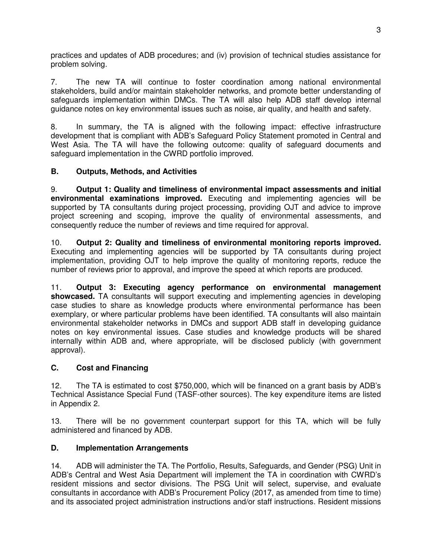practices and updates of ADB procedures; and (iv) provision of technical studies assistance for problem solving.

7. The new TA will continue to foster coordination among national environmental stakeholders, build and/or maintain stakeholder networks, and promote better understanding of safeguards implementation within DMCs. The TA will also help ADB staff develop internal guidance notes on key environmental issues such as noise, air quality, and health and safety.

8. In summary, the TA is aligned with the following impact: effective infrastructure development that is compliant with ADB's Safeguard Policy Statement promoted in Central and West Asia. The TA will have the following outcome: quality of safeguard documents and safeguard implementation in the CWRD portfolio improved.

## **B. Outputs, Methods, and Activities**

9. **Output 1: Quality and timeliness of environmental impact assessments and initial environmental examinations improved.** Executing and implementing agencies will be supported by TA consultants during project processing, providing OJT and advice to improve project screening and scoping, improve the quality of environmental assessments, and consequently reduce the number of reviews and time required for approval.

10. **Output 2: Quality and timeliness of environmental monitoring reports improved.** Executing and implementing agencies will be supported by TA consultants during project implementation, providing OJT to help improve the quality of monitoring reports, reduce the number of reviews prior to approval, and improve the speed at which reports are produced.

11. **Output 3: Executing agency performance on environmental management showcased.** TA consultants will support executing and implementing agencies in developing case studies to share as knowledge products where environmental performance has been exemplary, or where particular problems have been identified. TA consultants will also maintain environmental stakeholder networks in DMCs and support ADB staff in developing guidance notes on key environmental issues. Case studies and knowledge products will be shared internally within ADB and, where appropriate, will be disclosed publicly (with government approval).

## **C. Cost and Financing**

12. The TA is estimated to cost \$750,000, which will be financed on a grant basis by ADB's Technical Assistance Special Fund (TASF-other sources). The key expenditure items are listed in Appendix 2.

13. There will be no government counterpart support for this TA, which will be fully administered and financed by ADB.

## **D. Implementation Arrangements**

14. ADB will administer the TA. The Portfolio, Results, Safeguards, and Gender (PSG) Unit in ADB's Central and West Asia Department will implement the TA in coordination with CWRD's resident missions and sector divisions. The PSG Unit will select, supervise, and evaluate consultants in accordance with ADB's Procurement Policy (2017, as amended from time to time) and its associated project administration instructions and/or staff instructions. Resident missions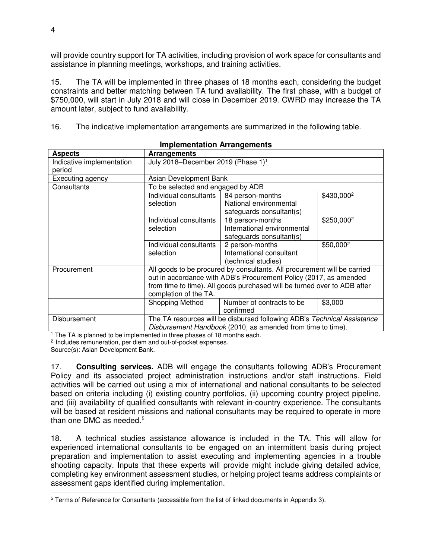will provide country support for TA activities, including provision of work space for consultants and assistance in planning meetings, workshops, and training activities.

15. The TA will be implemented in three phases of 18 months each, considering the budget constraints and better matching between TA fund availability. The first phase, with a budget of \$750,000, will start in July 2018 and will close in December 2019. CWRD may increase the TA amount later, subject to fund availability.

16. The indicative implementation arrangements are summarized in the following table.

| <u>IIIIpielileittation Anangelileitt</u>                                                |                                                                          |                                                             |                        |  |  |
|-----------------------------------------------------------------------------------------|--------------------------------------------------------------------------|-------------------------------------------------------------|------------------------|--|--|
| <b>Aspects</b>                                                                          | Arrangements                                                             |                                                             |                        |  |  |
| Indicative implementation                                                               | July 2018-December 2019 (Phase 1) <sup>1</sup>                           |                                                             |                        |  |  |
| period                                                                                  |                                                                          |                                                             |                        |  |  |
| Executing agency                                                                        | Asian Development Bank                                                   |                                                             |                        |  |  |
| Consultants                                                                             | To be selected and engaged by ADB                                        |                                                             |                        |  |  |
|                                                                                         | Individual consultants                                                   | 84 person-months                                            | \$430,000 <sup>2</sup> |  |  |
|                                                                                         | selection                                                                | National environmental                                      |                        |  |  |
|                                                                                         |                                                                          | safeguards consultant(s)                                    |                        |  |  |
|                                                                                         | Individual consultants                                                   | 18 person-months                                            | \$250,000 <sup>2</sup> |  |  |
|                                                                                         | selection                                                                | International environmental                                 |                        |  |  |
|                                                                                         |                                                                          | safeguards consultant(s)                                    |                        |  |  |
|                                                                                         | Individual consultants                                                   | 2 person-months                                             | \$50,000 <sup>2</sup>  |  |  |
|                                                                                         | selection                                                                | International consultant                                    |                        |  |  |
|                                                                                         |                                                                          | (technical studies)                                         |                        |  |  |
| All goods to be procured by consultants. All procurement will be carried<br>Procurement |                                                                          |                                                             |                        |  |  |
|                                                                                         | out in accordance with ADB's Procurement Policy (2017, as amended        |                                                             |                        |  |  |
|                                                                                         | from time to time). All goods purchased will be turned over to ADB after |                                                             |                        |  |  |
| completion of the TA.                                                                   |                                                                          |                                                             |                        |  |  |
|                                                                                         | Shopping Method                                                          | Number of contracts to be                                   | \$3,000                |  |  |
|                                                                                         |                                                                          | confirmed                                                   |                        |  |  |
| Disbursement                                                                            | The TA resources will be disbursed following ADB's Technical Assistance  |                                                             |                        |  |  |
|                                                                                         |                                                                          | Disbursement Handbook (2010, as amended from time to time). |                        |  |  |

## **Implementation Arrangements**

<sup>1</sup> The TA is planned to be implemented in three phases of 18 months each.

<sup>2</sup> Includes remuneration, per diem and out-of-pocket expenses.

Source(s): Asian Development Bank.

17. **Consulting services.** ADB will engage the consultants following ADB's Procurement Policy and its associated project administration instructions and/or staff instructions. Field activities will be carried out using a mix of international and national consultants to be selected based on criteria including (i) existing country portfolios, (ii) upcoming country project pipeline, and (iii) availability of qualified consultants with relevant in-country experience. The consultants will be based at resident missions and national consultants may be required to operate in more than one DMC as needed. $5$ 

18. A technical studies assistance allowance is included in the TA. This will allow for experienced international consultants to be engaged on an intermittent basis during project preparation and implementation to assist executing and implementing agencies in a trouble shooting capacity. Inputs that these experts will provide might include giving detailed advice, completing key environment assessment studies, or helping project teams address complaints or assessment gaps identified during implementation.

<span id="page-7-0"></span><sup>-</sup><sup>5</sup> Terms of Reference for Consultants (accessible from the list of linked documents in Appendix 3).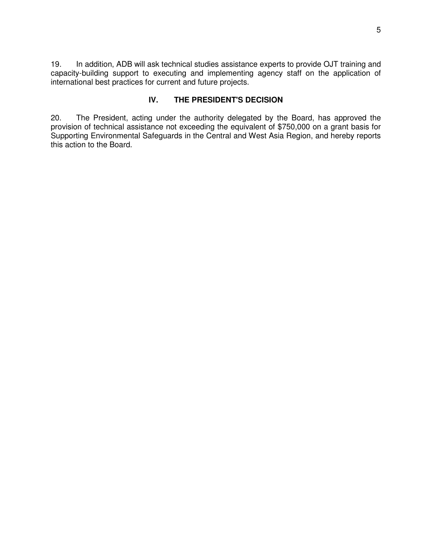19. In addition, ADB will ask technical studies assistance experts to provide OJT training and capacity-building support to executing and implementing agency staff on the application of international best practices for current and future projects.

## **IV. THE PRESIDENT'S DECISION**

20. The President, acting under the authority delegated by the Board, has approved the provision of technical assistance not exceeding the equivalent of \$750,000 on a grant basis for Supporting Environmental Safeguards in the Central and West Asia Region, and hereby reports this action to the Board.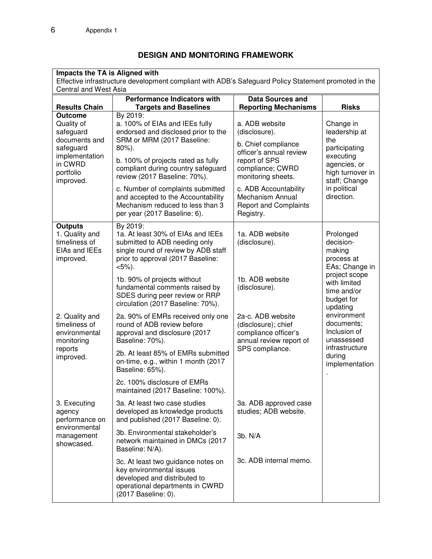# **DESIGN AND MONITORING FRAMEWORK**

| Impacts the TA is Aligned with<br>Effective infrastructure development compliant with ADB's Safeguard Policy Statement promoted in the<br>Central and West Asia |                                                                                                                                                                         |                                                                                             |                                                                                                                      |  |
|-----------------------------------------------------------------------------------------------------------------------------------------------------------------|-------------------------------------------------------------------------------------------------------------------------------------------------------------------------|---------------------------------------------------------------------------------------------|----------------------------------------------------------------------------------------------------------------------|--|
| <b>Performance Indicators with</b><br><b>Data Sources and</b>                                                                                                   |                                                                                                                                                                         |                                                                                             |                                                                                                                      |  |
| <b>Results Chain</b>                                                                                                                                            | <b>Targets and Baselines</b>                                                                                                                                            | <b>Reporting Mechanisms</b>                                                                 | <b>Risks</b>                                                                                                         |  |
| <b>Outcome</b><br>Quality of<br>safeguard<br>documents and                                                                                                      | By 2019:<br>a. 100% of EIAs and IEEs fully<br>endorsed and disclosed prior to the<br>SRM or MRM (2017 Baseline:                                                         | a. ADB website<br>(disclosure).<br>b. Chief compliance                                      | Change in<br>leadership at<br>the<br>participating<br>executing<br>agencies, or<br>high turnover in<br>staff; Change |  |
| safeguard<br>implementation<br>in CWRD<br>portfolio<br>improved.                                                                                                | 80%).<br>b. 100% of projects rated as fully<br>compliant during country safeguard<br>review (2017 Baseline: 70%).                                                       | officer's annual review<br>report of SPS<br>compliance; CWRD<br>monitoring sheets.          |                                                                                                                      |  |
|                                                                                                                                                                 | c. Number of complaints submitted<br>and accepted to the Accountability<br>Mechanism reduced to less than 3<br>per year (2017 Baseline: 6).                             | c. ADB Accountability<br>Mechanism Annual<br><b>Report and Complaints</b><br>Registry.      | in political<br>direction.                                                                                           |  |
| <b>Outputs</b><br>1. Quality and<br>timeliness of<br>EIAs and IEEs<br>improved.                                                                                 | By 2019:<br>1a. At least 30% of EIAs and IEEs<br>submitted to ADB needing only<br>single round of review by ADB staff<br>prior to approval (2017 Baseline:<br>$<5\%$ ). | 1a. ADB website<br>(disclosure).                                                            | Prolonged<br>decision-<br>making<br>process at<br>EAs; Change in                                                     |  |
|                                                                                                                                                                 | 1b. 90% of projects without<br>fundamental comments raised by<br>SDES during peer review or RRP<br>circulation (2017 Baseline: 70%).                                    | 1b. ADB website<br>(disclosure).                                                            | project scope<br>with limited<br>time and/or<br>budget for<br>updating                                               |  |
| 2. Quality and<br>timeliness of<br>environmental<br>monitoring                                                                                                  | 2a. 90% of EMRs received only one<br>round of ADB review before<br>approval and disclosure (2017<br>Baseline: 70%).                                                     | 2a-c. ADB website<br>(disclosure); chief<br>compliance officer's<br>annual review report of | environment<br>documents;<br>Inclusion of<br>unassessed                                                              |  |
| reports<br>improved.                                                                                                                                            | 2b. At least 85% of EMRs submitted<br>on-time, e.g., within 1 month (2017<br>Baseline: 65%).                                                                            | SPS compliance.                                                                             | infrastructure<br>during<br>implementation                                                                           |  |
|                                                                                                                                                                 | 2c. 100% disclosure of EMRs<br>maintained (2017 Baseline: 100%).                                                                                                        |                                                                                             |                                                                                                                      |  |
| 3. Executing<br>agency<br>performance on                                                                                                                        | 3a. At least two case studies<br>developed as knowledge products<br>and published (2017 Baseline: 0).                                                                   | 3a. ADB approved case<br>studies; ADB website.                                              |                                                                                                                      |  |
| environmental<br>management<br>showcased.                                                                                                                       | 3b. Environmental stakeholder's<br>network maintained in DMCs (2017<br>Baseline: N/A).                                                                                  | 3b. N/A                                                                                     |                                                                                                                      |  |
|                                                                                                                                                                 | 3c. At least two guidance notes on<br>key environmental issues<br>developed and distributed to<br>operational departments in CWRD<br>(2017 Baseline: 0).                | 3c. ADB internal memo.                                                                      |                                                                                                                      |  |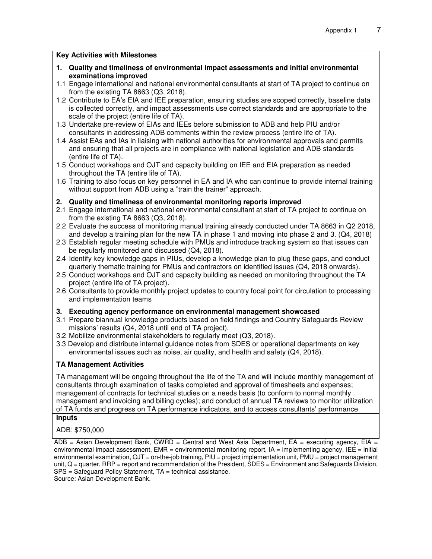#### **Key Activities with Milestones**

- **1. Quality and timeliness of environmental impact assessments and initial environmental examinations improved**
- 1.1 Engage international and national environmental consultants at start of TA project to continue on from the existing TA 8663 (Q3, 2018).
- 1.2 Contribute to EA's EIA and IEE preparation, ensuring studies are scoped correctly, baseline data is collected correctly, and impact assessments use correct standards and are appropriate to the scale of the project (entire life of TA).
- 1.3 Undertake pre-review of EIAs and IEEs before submission to ADB and help PIU and/or consultants in addressing ADB comments within the review process (entire life of TA).
- 1.4 Assist EAs and IAs in liaising with national authorities for environmental approvals and permits and ensuring that all projects are in compliance with national legislation and ADB standards (entire life of TA).
- 1.5 Conduct workshops and OJT and capacity building on IEE and EIA preparation as needed throughout the TA (entire life of TA).
- 1.6 Training to also focus on key personnel in EA and IA who can continue to provide internal training without support from ADB using a "train the trainer" approach.

#### **2. Quality and timeliness of environmental monitoring reports improved**

- 2.1 Engage international and national environmental consultant at start of TA project to continue on from the existing TA 8663 (Q3, 2018).
- 2.2 Evaluate the success of monitoring manual training already conducted under TA 8663 in Q2 2018, and develop a training plan for the new TA in phase 1 and moving into phase 2 and 3. (Q4, 2018)
- 2.3 Establish regular meeting schedule with PMUs and introduce tracking system so that issues can be regularly monitored and discussed (Q4, 2018).
- 2.4 Identify key knowledge gaps in PIUs, develop a knowledge plan to plug these gaps, and conduct quarterly thematic training for PMUs and contractors on identified issues (Q4, 2018 onwards).
- 2.5 Conduct workshops and OJT and capacity building as needed on monitoring throughout the TA project (entire life of TA project).
- 2.6 Consultants to provide monthly project updates to country focal point for circulation to processing and implementation teams

#### **3. Executing agency performance on environmental management showcased**

- 3.1 Prepare biannual knowledge products based on field findings and Country Safeguards Review missions' results (Q4, 2018 until end of TA project).
- 3.2 Mobilize environmental stakeholders to regularly meet (Q3, 2018).
- 3.3 Develop and distribute internal guidance notes from SDES or operational departments on key environmental issues such as noise, air quality, and health and safety (Q4, 2018).

#### **TA Management Activities**

TA management will be ongoing throughout the life of the TA and will include monthly management of consultants through examination of tasks completed and approval of timesheets and expenses; management of contracts for technical studies on a needs basis (to conform to normal monthly management and invoicing and billing cycles); and conduct of annual TA reviews to monitor utilization of TA funds and progress on TA performance indicators, and to access consultants' performance.

#### **Inputs**

ADB: \$750,000

 $ADB = Asian Development Bank, CWRD = Central and West Asia Department, EA = executing agency, EIA =$ environmental impact assessment, EMR = environmental monitoring report, IA = implementing agency, IEE = initial environmental examination,  $OJT = on$ -the-job training,  $PIU = project$  implementation unit,  $PMU = project$  management unit, Q = quarter, RRP = report and recommendation of the President, SDES = Environment and Safeguards Division, SPS = Safeguard Policy Statement, TA = technical assistance. Source: Asian Development Bank.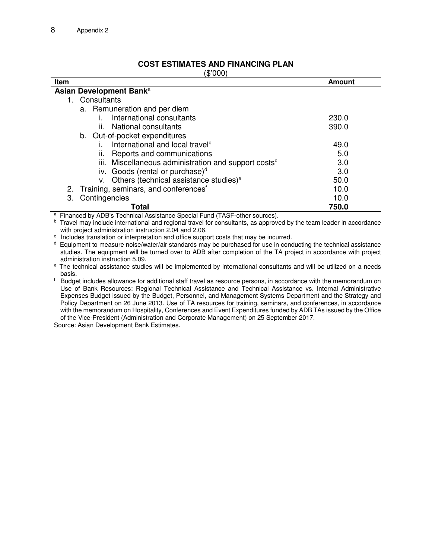## **COST ESTIMATES AND FINANCING PLAN**

| (000'\$،                                                         |        |
|------------------------------------------------------------------|--------|
| Item                                                             | Amount |
| Asian Development Bank <sup>a</sup>                              |        |
| 1. Consultants                                                   |        |
| a. Remuneration and per diem                                     |        |
| International consultants                                        | 230.0  |
| National consultants<br>Ш.                                       | 390.0  |
| b. Out-of-pocket expenditures                                    |        |
| International and local travel <sup>b</sup>                      | 49.0   |
| Reports and communications<br>ii.                                | 5.0    |
| iii. Miscellaneous administration and support costs <sup>c</sup> | 3.0    |
| iv. Goods (rental or purchase) $d$                               | 3.0    |
| v. Others (technical assistance studies) <sup>e</sup>            | 50.0   |
| 2. Training, seminars, and conferences <sup>f</sup>              | 10.0   |
| Contingencies<br>3.                                              | 10.0   |
| Total                                                            | 750.0  |

<sup>a</sup>Financed by ADB's Technical Assistance Special Fund (TASF-other sources).

**b** Travel may include international and regional travel for consultants, as approved by the team leader in accordance with project administration instruction 2.04 and 2.06.

<sup>c</sup> Includes translation or interpretation and office support costs that may be incurred.

<sup>d</sup> Equipment to measure noise/water/air standards may be purchased for use in conducting the technical assistance studies. The equipment will be turned over to ADB after completion of the TA project in accordance with project administration instruction 5.09.

<sup>e</sup> The technical assistance studies will be implemented by international consultants and will be utilized on a needs basis.

f Budget includes allowance for additional staff travel as resource persons, in accordance with the memorandum on Use of Bank Resources: Regional Technical Assistance and Technical Assistance vs. Internal Administrative Expenses Budget issued by the Budget, Personnel, and Management Systems Department and the Strategy and Policy Department on 26 June 2013. Use of TA resources for training, seminars, and conferences, in accordance with the memorandum on Hospitality, Conferences and Event Expenditures funded by ADB TAs issued by the Office of the Vice-President (Administration and Corporate Management) on 25 September 2017.

Source: Asian Development Bank Estimates.